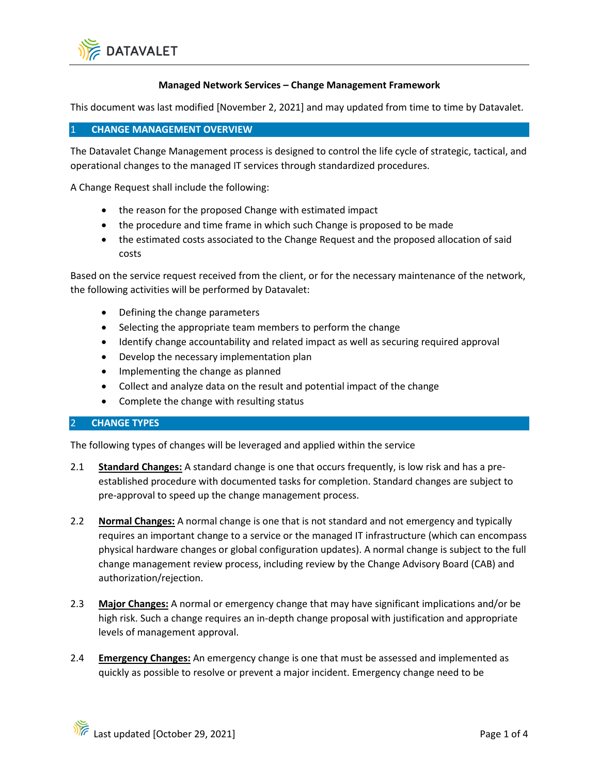

#### **Managed Network Services – Change Management Framework**

This document was last modified [November 2, 2021] and may updated from time to time by Datavalet.

#### 1 **CHANGE MANAGEMENT OVERVIEW**

The Datavalet Change Management process is designed to control the life cycle of strategic, tactical, and operational changes to the managed IT services through standardized procedures.

A Change Request shall include the following:

- the reason for the proposed Change with estimated impact
- the procedure and time frame in which such Change is proposed to be made
- the estimated costs associated to the Change Request and the proposed allocation of said costs

Based on the service request received from the client, or for the necessary maintenance of the network, the following activities will be performed by Datavalet:

- Defining the change parameters
- Selecting the appropriate team members to perform the change
- Identify change accountability and related impact as well as securing required approval
- Develop the necessary implementation plan
- Implementing the change as planned
- Collect and analyze data on the result and potential impact of the change
- Complete the change with resulting status

### 2 **CHANGE TYPES**

The following types of changes will be leveraged and applied within the service

- 2.1 **Standard Changes:** A standard change is one that occurs frequently, is low risk and has a preestablished procedure with documented tasks for completion. Standard changes are subject to pre-approval to speed up the change management process.
- 2.2 **Normal Changes:** A normal change is one that is not standard and not emergency and typically requires an important change to a service or the managed IT infrastructure (which can encompass physical hardware changes or global configuration updates). A normal change is subject to the full change management review process, including review by the Change Advisory Board (CAB) and authorization/rejection.
- 2.3 **Major Changes:** A normal or emergency change that may have significant implications and/or be high risk. Such a change requires an in-depth change proposal with justification and appropriate levels of management approval.
- 2.4 **Emergency Changes:** An emergency change is one that must be assessed and implemented as quickly as possible to resolve or prevent a major incident. Emergency change need to be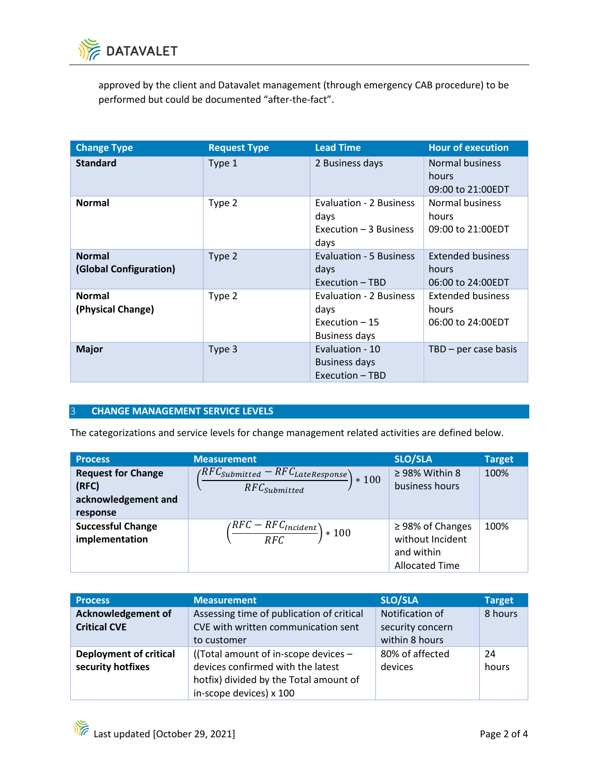

approved by the client and Datavalet management (through emergency CAB procedure) to be performed but could be documented "after-the-fact".

| <b>Change Type</b>                      | <b>Request Type</b> | <b>Lead Time</b>                                                           | <b>Hour of execution</b>                               |
|-----------------------------------------|---------------------|----------------------------------------------------------------------------|--------------------------------------------------------|
| <b>Standard</b>                         | Type 1              | 2 Business days                                                            | <b>Normal business</b><br>hours<br>09:00 to 21:00EDT   |
| <b>Normal</b>                           | Type 2              | Evaluation - 2 Business<br>days<br>Execution - 3 Business<br>days          | Normal business<br>hours<br>09:00 to 21:00EDT          |
| <b>Normal</b><br>(Global Configuration) | Type 2              | Evaluation - 5 Business<br>days<br>Execution - TBD                         | <b>Extended business</b><br>hours<br>06:00 to 24:00EDT |
| <b>Normal</b><br>(Physical Change)      | Type 2              | Evaluation - 2 Business<br>days<br>Execution $-15$<br><b>Business days</b> | <b>Extended business</b><br>hours<br>06:00 to 24:00EDT |
| <b>Major</b>                            | Type 3              | Evaluation - 10<br><b>Business days</b><br>Execution - TBD                 | $TBD$ – per case basis                                 |

## 3 **CHANGE MANAGEMENT SERVICE LEVELS**

The categorizations and service levels for change management related activities are defined below.

| <b>Process</b>                                                        | <b>Measurement</b>                                                                                           | <b>SLO/SLA</b>                                                                   | <b>Target</b> |
|-----------------------------------------------------------------------|--------------------------------------------------------------------------------------------------------------|----------------------------------------------------------------------------------|---------------|
| <b>Request for Change</b><br>(RFC)<br>acknowledgement and<br>response | $\big(\frac{RFC_{\textit{Submitted}}-RFC_{\textit{LateResponse}}\big)$<br>$*100$<br>$RFC_{\text{Submitted}}$ | $\geq$ 98% Within 8<br>business hours                                            | 100%          |
| <b>Successful Change</b><br>implementation                            | $\left(\frac{RFC - RFC_{Incident}}{RFC}\right) * 100$                                                        | $\geq$ 98% of Changes<br>without Incident<br>and within<br><b>Allocated Time</b> | 100%          |

| <b>Process</b>                | <b>Measurement</b>                        | <b>SLO/SLA</b>   | <b>Target</b> |
|-------------------------------|-------------------------------------------|------------------|---------------|
| Acknowledgement of            | Assessing time of publication of critical | Notification of  | 8 hours       |
| <b>Critical CVE</b>           | CVE with written communication sent       | security concern |               |
|                               | to customer                               | within 8 hours   |               |
| <b>Deployment of critical</b> | ((Total amount of in-scope devices $-$    | 80% of affected  | 24            |
| security hotfixes             | devices confirmed with the latest         | devices          | hours         |
|                               | hotfix) divided by the Total amount of    |                  |               |
|                               | in-scope devices) x 100                   |                  |               |

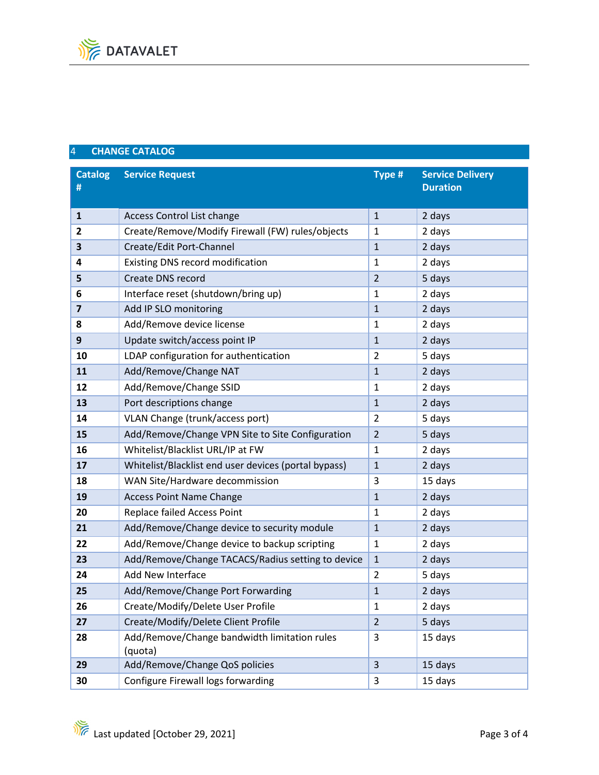# **CHANGE CATALOG**

| <b>Catalog</b><br># | <b>Service Request</b>                                  | Type #         | <b>Service Delivery</b><br><b>Duration</b> |
|---------------------|---------------------------------------------------------|----------------|--------------------------------------------|
|                     |                                                         |                |                                            |
| $\mathbf{1}$        | <b>Access Control List change</b>                       | $\mathbf{1}$   | 2 days                                     |
| 2                   | Create/Remove/Modify Firewall (FW) rules/objects        | 1              | 2 days                                     |
| 3                   | Create/Edit Port-Channel                                | $\mathbf{1}$   | 2 days                                     |
| 4                   | <b>Existing DNS record modification</b>                 | $\mathbf{1}$   | 2 days                                     |
| 5                   | <b>Create DNS record</b>                                | $\overline{2}$ | 5 days                                     |
| 6                   | Interface reset (shutdown/bring up)                     | $\mathbf{1}$   | 2 days                                     |
| $\overline{7}$      | Add IP SLO monitoring                                   | $\mathbf{1}$   | 2 days                                     |
| 8                   | Add/Remove device license                               | $\mathbf{1}$   | 2 days                                     |
| 9                   | Update switch/access point IP                           | $\mathbf{1}$   | 2 days                                     |
| 10                  | LDAP configuration for authentication                   | $\overline{2}$ | 5 days                                     |
| 11                  | Add/Remove/Change NAT                                   | $\mathbf{1}$   | 2 days                                     |
| 12                  | Add/Remove/Change SSID                                  | $\mathbf{1}$   | 2 days                                     |
| 13                  | Port descriptions change                                | $\mathbf{1}$   | 2 days                                     |
| 14                  | VLAN Change (trunk/access port)                         | $\overline{2}$ | 5 days                                     |
| 15                  | Add/Remove/Change VPN Site to Site Configuration        | $\overline{2}$ | 5 days                                     |
| 16                  | Whitelist/Blacklist URL/IP at FW                        | $\mathbf{1}$   | 2 days                                     |
| 17                  | Whitelist/Blacklist end user devices (portal bypass)    | $\mathbf{1}$   | 2 days                                     |
| 18                  | WAN Site/Hardware decommission                          | 3              | 15 days                                    |
| 19                  | <b>Access Point Name Change</b>                         | $\mathbf{1}$   | 2 days                                     |
| 20                  | Replace failed Access Point                             | $\mathbf{1}$   | 2 days                                     |
| 21                  | Add/Remove/Change device to security module             | $\mathbf{1}$   | 2 days                                     |
| 22                  | Add/Remove/Change device to backup scripting            | $\mathbf 1$    | 2 days                                     |
| 23                  | Add/Remove/Change TACACS/Radius setting to device       | $\mathbf{1}$   | 2 days                                     |
| 24                  | Add New Interface                                       | $\overline{2}$ | 5 days                                     |
| 25                  | Add/Remove/Change Port Forwarding                       | 1              | 2 days                                     |
| 26                  | Create/Modify/Delete User Profile                       | 1              | 2 days                                     |
| 27                  | Create/Modify/Delete Client Profile                     | $\overline{2}$ | 5 days                                     |
| 28                  | Add/Remove/Change bandwidth limitation rules<br>(quota) | 3              | 15 days                                    |
| 29                  | Add/Remove/Change QoS policies                          | 3              | 15 days                                    |
| 30                  | Configure Firewall logs forwarding                      | 3              | 15 days                                    |